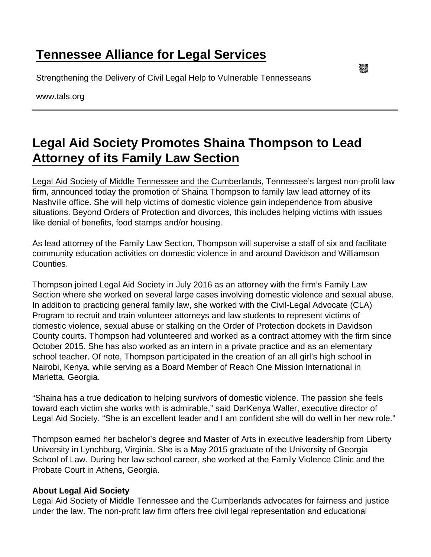## [Tennessee Alliance for Legal Services](https://www.tals.org/)

Strengthening the Delivery of Civil Legal Help to Vulnerable Tennesseans

www.tals.org

## [Legal Aid Society Promotes Shaina Thompson to Lead](https://www.tals.org/node/1055/legal-aid-society-promotes-shaina-thompson-lead-attorney-its-family-law-section)  [Attorney of its Family Law Section](https://www.tals.org/node/1055/legal-aid-society-promotes-shaina-thompson-lead-attorney-its-family-law-section)

[Legal Aid Society of Middle Tennessee and the Cumberlands,](http://www.las.org/) Tennessee's largest non-profit law firm, announced today the promotion of Shaina Thompson to family law lead attorney of its Nashville office. She will help victims of domestic violence gain independence from abusive situations. Beyond Orders of Protection and divorces, this includes helping victims with issues like denial of benefits, food stamps and/or housing.

As lead attorney of the Family Law Section, Thompson will supervise a staff of six and facilitate community education activities on domestic violence in and around Davidson and Williamson Counties.

Thompson joined Legal Aid Society in July 2016 as an attorney with the firm's Family Law Section where she worked on several large cases involving domestic violence and sexual abuse. In addition to practicing general family law, she worked with the Civil-Legal Advocate (CLA) Program to recruit and train volunteer attorneys and law students to represent victims of domestic violence, sexual abuse or stalking on the Order of Protection dockets in Davidson County courts. Thompson had volunteered and worked as a contract attorney with the firm since October 2015. She has also worked as an intern in a private practice and as an elementary school teacher. Of note, Thompson participated in the creation of an all girl's high school in Nairobi, Kenya, while serving as a Board Member of Reach One Mission International in Marietta, Georgia.

"Shaina has a true dedication to helping survivors of domestic violence. The passion she feels toward each victim she works with is admirable," said DarKenya Waller, executive director of Legal Aid Society. "She is an excellent leader and I am confident she will do well in her new role."

Thompson earned her bachelor's degree and Master of Arts in executive leadership from Liberty University in Lynchburg, Virginia. She is a May 2015 graduate of the University of Georgia School of Law. During her law school career, she worked at the Family Violence Clinic and the Probate Court in Athens, Georgia.

## About Legal Aid Society

Legal Aid Society of Middle Tennessee and the Cumberlands advocates for fairness and justice under the law. The non-profit law firm offers free civil legal representation and educational